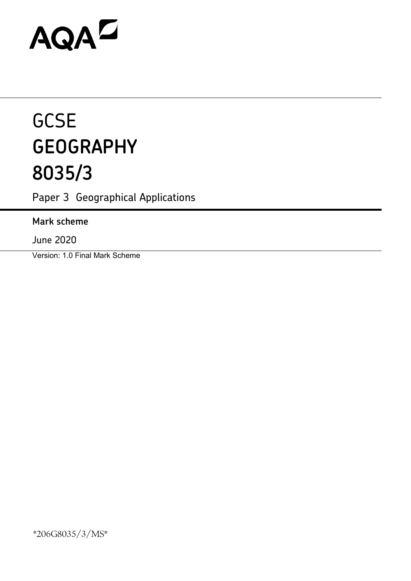# AQAD

## **GCSE GEOGRAPHY 8035/3**

Paper 3 Geographical Applications

### **Mark scheme**

June 2020

Version: 1.0 Final Mark Scheme

\*206G8035/3/MS\*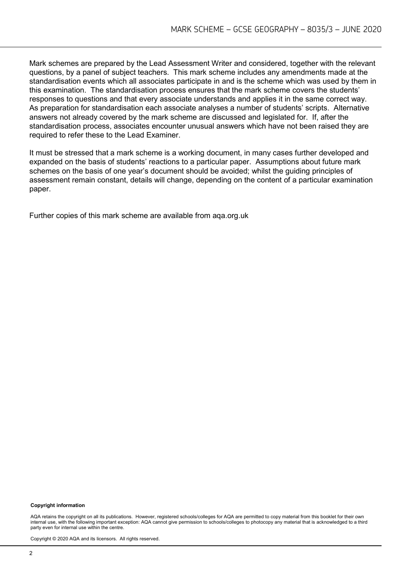Mark schemes are prepared by the Lead Assessment Writer and considered, together with the relevant questions, by a panel of subject teachers. This mark scheme includes any amendments made at the standardisation events which all associates participate in and is the scheme which was used by them in this examination. The standardisation process ensures that the mark scheme covers the students' responses to questions and that every associate understands and applies it in the same correct way. As preparation for standardisation each associate analyses a number of students' scripts. Alternative answers not already covered by the mark scheme are discussed and legislated for. If, after the standardisation process, associates encounter unusual answers which have not been raised they are required to refer these to the Lead Examiner.

It must be stressed that a mark scheme is a working document, in many cases further developed and expanded on the basis of students' reactions to a particular paper. Assumptions about future mark schemes on the basis of one year's document should be avoided; whilst the guiding principles of assessment remain constant, details will change, depending on the content of a particular examination paper.

Further copies of this mark scheme are available from aqa.org.uk

#### **Copyright information**

AQA retains the copyright on all its publications. However, registered schools/colleges for AQA are permitted to copy material from this booklet for their own internal use, with the following important exception: AQA cannot give permission to schools/colleges to photocopy any material that is acknowledged to a third party even for internal use within the centre.

Copyright © 2020 AQA and its licensors. All rights reserved.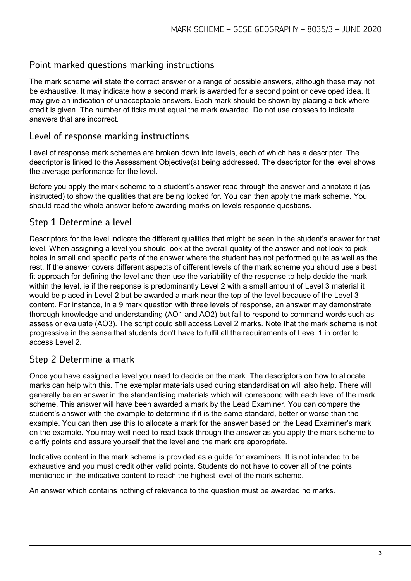#### Point marked questions marking instructions

The mark scheme will state the correct answer or a range of possible answers, although these may not be exhaustive. It may indicate how a second mark is awarded for a second point or developed idea. It may give an indication of unacceptable answers. Each mark should be shown by placing a tick where credit is given. The number of ticks must equal the mark awarded. Do not use crosses to indicate answers that are incorrect.

#### Level of response marking instructions

Level of response mark schemes are broken down into levels, each of which has a descriptor. The descriptor is linked to the Assessment Objective(s) being addressed. The descriptor for the level shows the average performance for the level.

Before you apply the mark scheme to a student's answer read through the answer and annotate it (as instructed) to show the qualities that are being looked for. You can then apply the mark scheme. You should read the whole answer before awarding marks on levels response questions.

#### Step 1 Determine a level

Descriptors for the level indicate the different qualities that might be seen in the student's answer for that level. When assigning a level you should look at the overall quality of the answer and not look to pick holes in small and specific parts of the answer where the student has not performed quite as well as the rest. If the answer covers different aspects of different levels of the mark scheme you should use a best fit approach for defining the level and then use the variability of the response to help decide the mark within the level, ie if the response is predominantly Level 2 with a small amount of Level 3 material it would be placed in Level 2 but be awarded a mark near the top of the level because of the Level 3 content. For instance, in a 9 mark question with three levels of response, an answer may demonstrate thorough knowledge and understanding (AO1 and AO2) but fail to respond to command words such as assess or evaluate (AO3). The script could still access Level 2 marks. Note that the mark scheme is not progressive in the sense that students don't have to fulfil all the requirements of Level 1 in order to access Level 2.

#### Step 2 Determine a mark

Once you have assigned a level you need to decide on the mark. The descriptors on how to allocate marks can help with this. The exemplar materials used during standardisation will also help. There will generally be an answer in the standardising materials which will correspond with each level of the mark scheme. This answer will have been awarded a mark by the Lead Examiner. You can compare the student's answer with the example to determine if it is the same standard, better or worse than the example. You can then use this to allocate a mark for the answer based on the Lead Examiner's mark on the example. You may well need to read back through the answer as you apply the mark scheme to clarify points and assure yourself that the level and the mark are appropriate.

Indicative content in the mark scheme is provided as a guide for examiners. It is not intended to be exhaustive and you must credit other valid points. Students do not have to cover all of the points mentioned in the indicative content to reach the highest level of the mark scheme.

An answer which contains nothing of relevance to the question must be awarded no marks.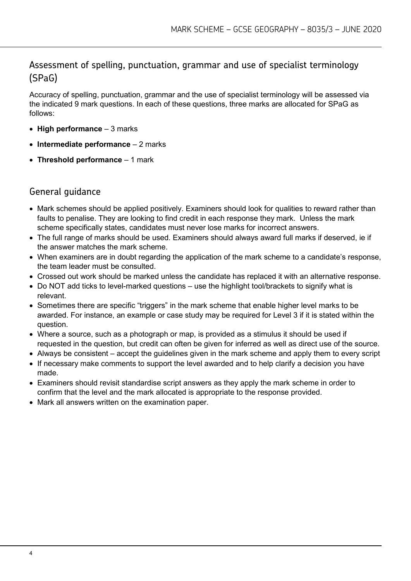#### Assessment of spelling, punctuation, grammar and use of specialist terminology (SPaG)

Accuracy of spelling, punctuation, grammar and the use of specialist terminology will be assessed via the indicated 9 mark questions. In each of these questions, three marks are allocated for SPaG as follows:

- **High performance**  3 marks
- **Intermediate performance**  2 marks
- **Threshold performance**  1 mark

#### General guidance

- Mark schemes should be applied positively. Examiners should look for qualities to reward rather than faults to penalise. They are looking to find credit in each response they mark. Unless the mark scheme specifically states, candidates must never lose marks for incorrect answers.
- The full range of marks should be used. Examiners should always award full marks if deserved, ie if the answer matches the mark scheme.
- When examiners are in doubt regarding the application of the mark scheme to a candidate's response, the team leader must be consulted.
- Crossed out work should be marked unless the candidate has replaced it with an alternative response.
- Do NOT add ticks to level-marked questions use the highlight tool/brackets to signify what is relevant.
- Sometimes there are specific "triggers" in the mark scheme that enable higher level marks to be awarded. For instance, an example or case study may be required for Level 3 if it is stated within the question.
- Where a source, such as a photograph or map, is provided as a stimulus it should be used if requested in the question, but credit can often be given for inferred as well as direct use of the source.
- Always be consistent accept the guidelines given in the mark scheme and apply them to every script
- If necessary make comments to support the level awarded and to help clarify a decision you have made.
- Examiners should revisit standardise script answers as they apply the mark scheme in order to confirm that the level and the mark allocated is appropriate to the response provided.
- Mark all answers written on the examination paper.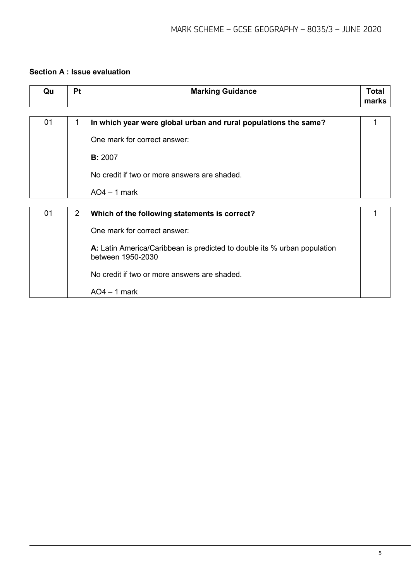#### **Section A : Issue evaluation**

| Qu | Pt | <b>Marking Guidance</b>                                                                       | <b>Total</b><br>marks |
|----|----|-----------------------------------------------------------------------------------------------|-----------------------|
|    |    |                                                                                               |                       |
| 01 | 1  | In which year were global urban and rural populations the same?                               |                       |
|    |    | One mark for correct answer:                                                                  |                       |
|    |    | <b>B:</b> 2007                                                                                |                       |
|    |    | No credit if two or more answers are shaded.                                                  |                       |
|    |    | $AO4 - 1$ mark                                                                                |                       |
|    |    |                                                                                               |                       |
| 01 | 2  | Which of the following statements is correct?                                                 |                       |
|    |    | One mark for correct answer:                                                                  |                       |
|    |    | A: Latin America/Caribbean is predicted to double its % urban population<br>between 1950-2030 |                       |
|    |    | No credit if two or more answers are shaded.                                                  |                       |
|    |    | $AO4 - 1$ mark                                                                                |                       |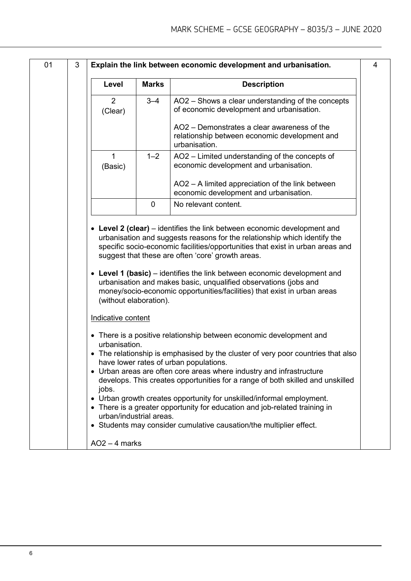| Level                                        | <b>Marks</b> | <b>Description</b>                                                                                                                                                                                                                                                                                                                                                                                                                           |
|----------------------------------------------|--------------|----------------------------------------------------------------------------------------------------------------------------------------------------------------------------------------------------------------------------------------------------------------------------------------------------------------------------------------------------------------------------------------------------------------------------------------------|
|                                              |              |                                                                                                                                                                                                                                                                                                                                                                                                                                              |
| $\overline{2}$                               | $3 - 4$      | AO2 - Shows a clear understanding of the concepts                                                                                                                                                                                                                                                                                                                                                                                            |
| (Clear)                                      |              | of economic development and urbanisation.                                                                                                                                                                                                                                                                                                                                                                                                    |
|                                              |              | AO2 – Demonstrates a clear awareness of the<br>relationship between economic development and<br>urbanisation.                                                                                                                                                                                                                                                                                                                                |
| $\mathbf{1}$<br>(Basic)                      | $1 - 2$      | AO2 – Limited understanding of the concepts of<br>economic development and urbanisation.                                                                                                                                                                                                                                                                                                                                                     |
|                                              |              | AO2 - A limited appreciation of the link between<br>economic development and urbanisation.                                                                                                                                                                                                                                                                                                                                                   |
|                                              | 0            | No relevant content.                                                                                                                                                                                                                                                                                                                                                                                                                         |
|                                              |              | • Level 2 (clear) – identifies the link between economic development and<br>urbanisation and suggests reasons for the relationship which identify the<br>specific socio-economic facilities/opportunities that exist in urban areas and<br>suggest that these are often 'core' growth areas.<br>• Level 1 (basic) – identifies the link between economic development and<br>urbanisation and makes basic, unqualified observations (jobs and |
| (without elaboration).<br>Indicative content |              | money/socio-economic opportunities/facilities) that exist in urban areas                                                                                                                                                                                                                                                                                                                                                                     |
| urbanisation.                                |              | • There is a positive relationship between economic development and<br>• The relationship is emphasised by the cluster of very poor countries that also                                                                                                                                                                                                                                                                                      |
|                                              |              | have lower rates of urban populations.<br>• Urban areas are often core areas where industry and infrastructure<br>develops. This creates opportunities for a range of both skilled and unskilled                                                                                                                                                                                                                                             |
| jobs.<br>urban/industrial areas.             |              | • Urban growth creates opportunity for unskilled/informal employment.<br>• There is a greater opportunity for education and job-related training in                                                                                                                                                                                                                                                                                          |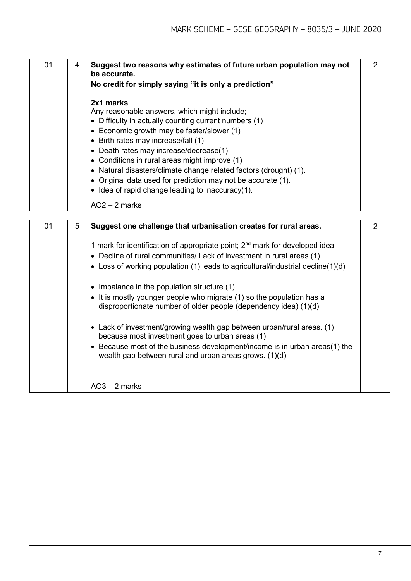| 01 | 4 | Suggest two reasons why estimates of future urban population may not<br>be accurate.<br>No credit for simply saying "it is only a prediction"                                                                                                                                                                                                                                                                                                                                                                  | $\mathcal{P}$ |
|----|---|----------------------------------------------------------------------------------------------------------------------------------------------------------------------------------------------------------------------------------------------------------------------------------------------------------------------------------------------------------------------------------------------------------------------------------------------------------------------------------------------------------------|---------------|
|    |   | 2x1 marks<br>Any reasonable answers, which might include;<br>• Difficulty in actually counting current numbers (1)<br>• Economic growth may be faster/slower (1)<br>• Birth rates may increase/fall (1)<br>• Death rates may increase/decrease(1)<br>• Conditions in rural areas might improve (1)<br>• Natural disasters/climate change related factors (drought) (1).<br>• Original data used for prediction may not be accurate (1).<br>• Idea of rapid change leading to inaccuracy(1).<br>$AO2 - 2$ marks |               |

| 01 | 5 | Suggest one challenge that urbanisation creates for rural areas.                                                                                                                                                                                                  | 2 |
|----|---|-------------------------------------------------------------------------------------------------------------------------------------------------------------------------------------------------------------------------------------------------------------------|---|
|    |   | 1 mark for identification of appropriate point; 2 <sup>nd</sup> mark for developed idea<br>• Decline of rural communities/ Lack of investment in rural areas (1)<br>• Loss of working population (1) leads to agricultural/industrial decline(1)(d)               |   |
|    |   | • Imbalance in the population structure $(1)$<br>• It is mostly younger people who migrate (1) so the population has a<br>disproportionate number of older people (dependency idea) (1)(d)                                                                        |   |
|    |   | • Lack of investment/growing wealth gap between urban/rural areas. (1)<br>because most investment goes to urban areas (1)<br>• Because most of the business development/income is in urban areas(1) the<br>wealth gap between rural and urban areas grows. (1)(d) |   |
|    |   | $AO3 - 2$ marks                                                                                                                                                                                                                                                   |   |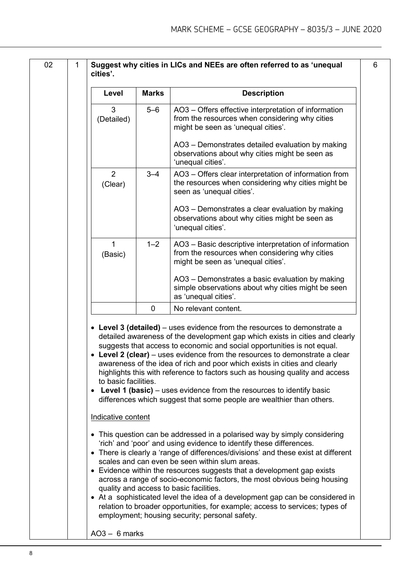6

| 02 | 1 | cities'.                                   |              | Suggest why cities in LICs and NEEs are often referred to as 'unequal                                                                                                                                                                                                                                                                                                                                                                                                                                                                                                                                                                                                                                      |
|----|---|--------------------------------------------|--------------|------------------------------------------------------------------------------------------------------------------------------------------------------------------------------------------------------------------------------------------------------------------------------------------------------------------------------------------------------------------------------------------------------------------------------------------------------------------------------------------------------------------------------------------------------------------------------------------------------------------------------------------------------------------------------------------------------------|
|    |   | Level                                      | <b>Marks</b> | <b>Description</b>                                                                                                                                                                                                                                                                                                                                                                                                                                                                                                                                                                                                                                                                                         |
|    |   | 3<br>(Detailed)                            | $5 - 6$      | AO3 – Offers effective interpretation of information<br>from the resources when considering why cities<br>might be seen as 'unequal cities'.                                                                                                                                                                                                                                                                                                                                                                                                                                                                                                                                                               |
|    |   |                                            |              | AO3 - Demonstrates detailed evaluation by making<br>observations about why cities might be seen as<br>'unequal cities'.                                                                                                                                                                                                                                                                                                                                                                                                                                                                                                                                                                                    |
|    |   | 2<br>(Clear)                               | $3 - 4$      | AO3 – Offers clear interpretation of information from<br>the resources when considering why cities might be<br>seen as 'unequal cities'.                                                                                                                                                                                                                                                                                                                                                                                                                                                                                                                                                                   |
|    |   |                                            |              | AO3 – Demonstrates a clear evaluation by making<br>observations about why cities might be seen as<br>'unequal cities'.                                                                                                                                                                                                                                                                                                                                                                                                                                                                                                                                                                                     |
|    |   | 1<br>(Basic)                               | $1 - 2$      | AO3 - Basic descriptive interpretation of information<br>from the resources when considering why cities<br>might be seen as 'unequal cities'.                                                                                                                                                                                                                                                                                                                                                                                                                                                                                                                                                              |
|    |   |                                            |              | AO3 - Demonstrates a basic evaluation by making<br>simple observations about why cities might be seen<br>as 'unequal cities'.                                                                                                                                                                                                                                                                                                                                                                                                                                                                                                                                                                              |
|    |   |                                            | $\mathbf 0$  | No relevant content.                                                                                                                                                                                                                                                                                                                                                                                                                                                                                                                                                                                                                                                                                       |
|    |   | to basic facilities.<br>Indicative content |              | • Level 3 (detailed) – uses evidence from the resources to demonstrate a<br>detailed awareness of the development gap which exists in cities and clearly<br>suggests that access to economic and social opportunities is not equal.<br>• Level 2 (clear) – uses evidence from the resources to demonstrate a clear<br>awareness of the idea of rich and poor which exists in cities and clearly<br>highlights this with reference to factors such as housing quality and access<br><b>Level 1 (basic)</b> – uses evidence from the resources to identify basic<br>differences which suggest that some people are wealthier than others.                                                                    |
|    |   | $\bullet$                                  |              | • This question can be addressed in a polarised way by simply considering<br>'rich' and 'poor' and using evidence to identify these differences.<br>There is clearly a 'range of differences/divisions' and these exist at different<br>scales and can even be seen within slum areas.<br>• Evidence within the resources suggests that a development gap exists<br>across a range of socio-economic factors, the most obvious being housing<br>quality and access to basic facilities.<br>• At a sophisticated level the idea of a development gap can be considered in<br>relation to broader opportunities, for example; access to services; types of<br>employment; housing security; personal safety. |
|    |   | $AO3 - 6$ marks                            |              |                                                                                                                                                                                                                                                                                                                                                                                                                                                                                                                                                                                                                                                                                                            |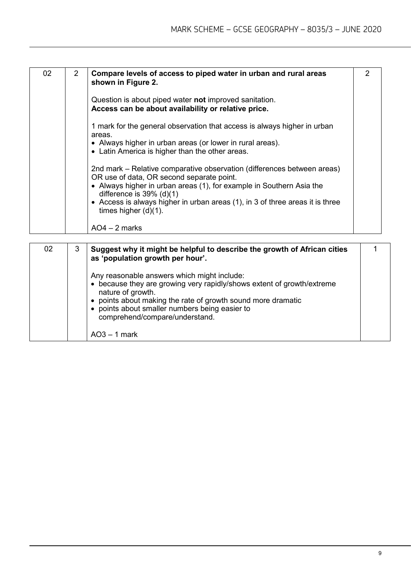| 02 | $\overline{2}$ | Compare levels of access to piped water in urban and rural areas<br>shown in Figure 2.                                                           | $\overline{2}$ |
|----|----------------|--------------------------------------------------------------------------------------------------------------------------------------------------|----------------|
|    |                | Question is about piped water not improved sanitation.<br>Access can be about availability or relative price.                                    |                |
|    |                | 1 mark for the general observation that access is always higher in urban<br>areas.<br>• Always higher in urban areas (or lower in rural areas).  |                |
|    |                | • Latin America is higher than the other areas.<br>2nd mark – Relative comparative observation (differences between areas)                       |                |
|    |                | OR use of data, OR second separate point.<br>• Always higher in urban areas (1), for example in Southern Asia the<br>difference is $39\%$ (d)(1) |                |
|    |                | • Access is always higher in urban areas (1), in 3 of three areas it is three<br>times higher $(d)(1)$ .                                         |                |
|    |                | $AO4 - 2$ marks                                                                                                                                  |                |

| 02<br>3 | Suggest why it might be helpful to describe the growth of African cities<br>as 'population growth per hour'.                                                                                                                                                                                                 |  |
|---------|--------------------------------------------------------------------------------------------------------------------------------------------------------------------------------------------------------------------------------------------------------------------------------------------------------------|--|
|         | Any reasonable answers which might include:<br>• because they are growing very rapidly/shows extent of growth/extreme<br>nature of growth.<br>points about making the rate of growth sound more dramatic<br>points about smaller numbers being easier to<br>comprehend/compare/understand.<br>$AO3 - 1$ mark |  |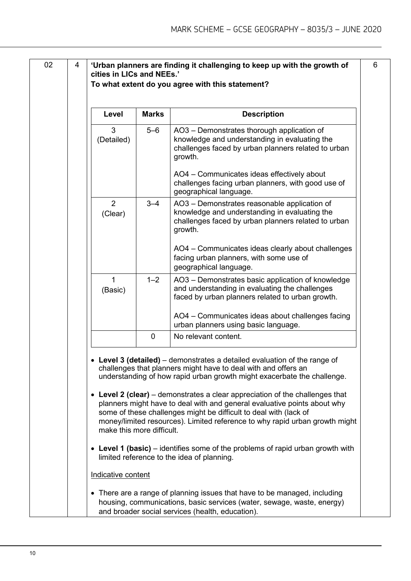| 3<br>$5 - 6$<br>AO3 - Demonstrates thorough application of<br>knowledge and understanding in evaluating the<br>(Detailed)<br>challenges faced by urban planners related to urban<br>growth.<br>AO4 - Communicates ideas effectively about<br>challenges facing urban planners, with good use of<br>geographical language.<br>2<br>$3 - 4$<br>AO3 - Demonstrates reasonable application of<br>knowledge and understanding in evaluating the<br>(Clear)<br>challenges faced by urban planners related to urban<br>growth.<br>facing urban planners, with some use of<br>geographical language.<br>$\mathbf{1}$<br>$1 - 2$<br>AO3 - Demonstrates basic application of knowledge<br>and understanding in evaluating the challenges<br>(Basic)<br>faced by urban planners related to urban growth.<br>AO4 - Communicates ideas about challenges facing<br>urban planners using basic language.<br>$\mathbf 0$<br>No relevant content.<br><b>Level 3 (detailed)</b> – demonstrates a detailed evaluation of the range of<br>challenges that planners might have to deal with and offers an<br>understanding of how rapid urban growth might exacerbate the challenge.<br>• Level 2 (clear) – demonstrates a clear appreciation of the challenges that<br>planners might have to deal with and general evaluative points about why<br>some of these challenges might be difficult to deal with (lack of<br>money/limited resources). Limited reference to why rapid urban growth might<br>make this more difficult.<br>• Level 1 (basic) – identifies some of the problems of rapid urban growth with<br>limited reference to the idea of planning.<br>Indicative content | Level | <b>Marks</b> | <b>Description</b>                                |
|--------------------------------------------------------------------------------------------------------------------------------------------------------------------------------------------------------------------------------------------------------------------------------------------------------------------------------------------------------------------------------------------------------------------------------------------------------------------------------------------------------------------------------------------------------------------------------------------------------------------------------------------------------------------------------------------------------------------------------------------------------------------------------------------------------------------------------------------------------------------------------------------------------------------------------------------------------------------------------------------------------------------------------------------------------------------------------------------------------------------------------------------------------------------------------------------------------------------------------------------------------------------------------------------------------------------------------------------------------------------------------------------------------------------------------------------------------------------------------------------------------------------------------------------------------------------------------------------------------------------------------------------------------------------|-------|--------------|---------------------------------------------------|
|                                                                                                                                                                                                                                                                                                                                                                                                                                                                                                                                                                                                                                                                                                                                                                                                                                                                                                                                                                                                                                                                                                                                                                                                                                                                                                                                                                                                                                                                                                                                                                                                                                                                    |       |              |                                                   |
|                                                                                                                                                                                                                                                                                                                                                                                                                                                                                                                                                                                                                                                                                                                                                                                                                                                                                                                                                                                                                                                                                                                                                                                                                                                                                                                                                                                                                                                                                                                                                                                                                                                                    |       |              |                                                   |
|                                                                                                                                                                                                                                                                                                                                                                                                                                                                                                                                                                                                                                                                                                                                                                                                                                                                                                                                                                                                                                                                                                                                                                                                                                                                                                                                                                                                                                                                                                                                                                                                                                                                    |       |              |                                                   |
|                                                                                                                                                                                                                                                                                                                                                                                                                                                                                                                                                                                                                                                                                                                                                                                                                                                                                                                                                                                                                                                                                                                                                                                                                                                                                                                                                                                                                                                                                                                                                                                                                                                                    |       |              | AO4 - Communicates ideas clearly about challenges |
|                                                                                                                                                                                                                                                                                                                                                                                                                                                                                                                                                                                                                                                                                                                                                                                                                                                                                                                                                                                                                                                                                                                                                                                                                                                                                                                                                                                                                                                                                                                                                                                                                                                                    |       |              |                                                   |
|                                                                                                                                                                                                                                                                                                                                                                                                                                                                                                                                                                                                                                                                                                                                                                                                                                                                                                                                                                                                                                                                                                                                                                                                                                                                                                                                                                                                                                                                                                                                                                                                                                                                    |       |              |                                                   |
|                                                                                                                                                                                                                                                                                                                                                                                                                                                                                                                                                                                                                                                                                                                                                                                                                                                                                                                                                                                                                                                                                                                                                                                                                                                                                                                                                                                                                                                                                                                                                                                                                                                                    |       |              |                                                   |
|                                                                                                                                                                                                                                                                                                                                                                                                                                                                                                                                                                                                                                                                                                                                                                                                                                                                                                                                                                                                                                                                                                                                                                                                                                                                                                                                                                                                                                                                                                                                                                                                                                                                    |       |              |                                                   |
|                                                                                                                                                                                                                                                                                                                                                                                                                                                                                                                                                                                                                                                                                                                                                                                                                                                                                                                                                                                                                                                                                                                                                                                                                                                                                                                                                                                                                                                                                                                                                                                                                                                                    |       |              |                                                   |
|                                                                                                                                                                                                                                                                                                                                                                                                                                                                                                                                                                                                                                                                                                                                                                                                                                                                                                                                                                                                                                                                                                                                                                                                                                                                                                                                                                                                                                                                                                                                                                                                                                                                    |       |              |                                                   |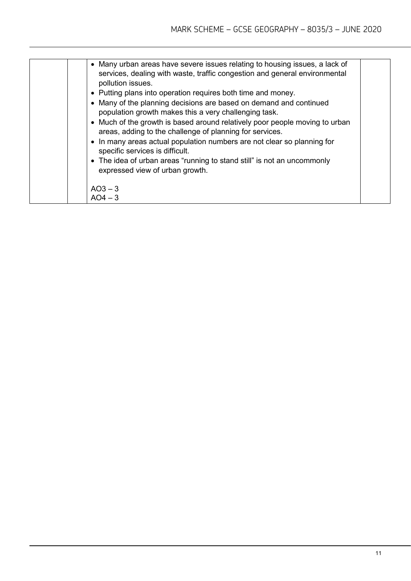| • Many urban areas have severe issues relating to housing issues, a lack of<br>services, dealing with waste, traffic congestion and general environmental<br>pollution issues.<br>• Putting plans into operation requires both time and money.<br>• Many of the planning decisions are based on demand and continued<br>population growth makes this a very challenging task.<br>• Much of the growth is based around relatively poor people moving to urban<br>areas, adding to the challenge of planning for services.<br>• In many areas actual population numbers are not clear so planning for<br>specific services is difficult.<br>• The idea of urban areas "running to stand still" is not an uncommonly<br>expressed view of urban growth.<br>$AO3 - 3$<br>$AO4 - 3$ |  |
|--------------------------------------------------------------------------------------------------------------------------------------------------------------------------------------------------------------------------------------------------------------------------------------------------------------------------------------------------------------------------------------------------------------------------------------------------------------------------------------------------------------------------------------------------------------------------------------------------------------------------------------------------------------------------------------------------------------------------------------------------------------------------------|--|
|                                                                                                                                                                                                                                                                                                                                                                                                                                                                                                                                                                                                                                                                                                                                                                                |  |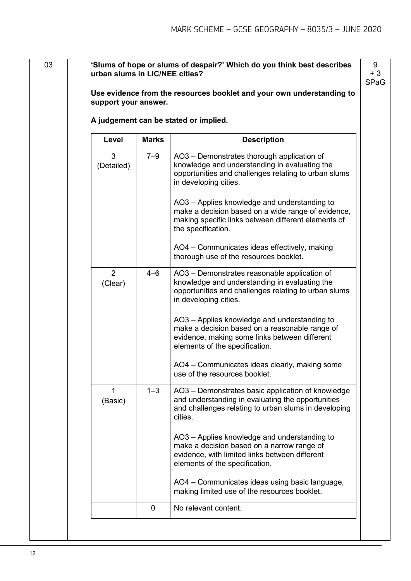| support your answer. |              |                                                                                                                                                                                   |
|----------------------|--------------|-----------------------------------------------------------------------------------------------------------------------------------------------------------------------------------|
|                      |              | A judgement can be stated or implied.                                                                                                                                             |
| Level                | <b>Marks</b> | <b>Description</b>                                                                                                                                                                |
| 3<br>(Detailed)      | $7 - 9$      | AO3 - Demonstrates thorough application of<br>knowledge and understanding in evaluating the<br>opportunities and challenges relating to urban slums<br>in developing cities.      |
|                      |              | AO3 - Applies knowledge and understanding to<br>make a decision based on a wide range of evidence,<br>making specific links between different elements of<br>the specification.   |
|                      |              | AO4 - Communicates ideas effectively, making<br>thorough use of the resources booklet.                                                                                            |
| 2<br>(Clear)         | $4 - 6$      | AO3 – Demonstrates reasonable application of<br>knowledge and understanding in evaluating the<br>opportunities and challenges relating to urban slums<br>in developing cities.    |
|                      |              | AO3 - Applies knowledge and understanding to<br>make a decision based on a reasonable range of<br>evidence, making some links between different<br>elements of the specification. |
|                      |              | AO4 – Communicates ideas clearly, making some<br>use of the resources booklet.                                                                                                    |
| 1<br>(Basic)         | $1 - 3$      | AO3 - Demonstrates basic application of knowledge<br>and understanding in evaluating the opportunities<br>and challenges relating to urban slums in developing<br>cities.         |
|                      |              | AO3 - Applies knowledge and understanding to<br>make a decision based on a narrow range of<br>evidence, with limited links between different<br>elements of the specification.    |
|                      |              | AO4 - Communicates ideas using basic language,<br>making limited use of the resources booklet.                                                                                    |
|                      | $\mathbf 0$  | No relevant content.                                                                                                                                                              |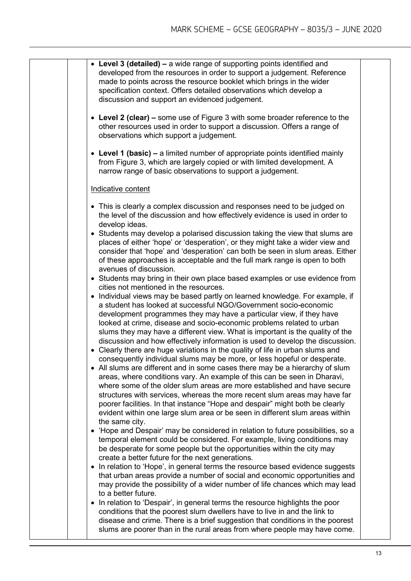| • Level 3 (detailed) – a wide range of supporting points identified and<br>developed from the resources in order to support a judgement. Reference<br>made to points across the resource booklet which brings in the wider<br>specification context. Offers detailed observations which develop a<br>discussion and support an evidenced judgement.                                                  |
|------------------------------------------------------------------------------------------------------------------------------------------------------------------------------------------------------------------------------------------------------------------------------------------------------------------------------------------------------------------------------------------------------|
| • Level 2 (clear) – some use of Figure 3 with some broader reference to the<br>other resources used in order to support a discussion. Offers a range of<br>observations which support a judgement.                                                                                                                                                                                                   |
| • Level 1 (basic) – a limited number of appropriate points identified mainly<br>from Figure 3, which are largely copied or with limited development. A<br>narrow range of basic observations to support a judgement.                                                                                                                                                                                 |
| Indicative content                                                                                                                                                                                                                                                                                                                                                                                   |
| • This is clearly a complex discussion and responses need to be judged on<br>the level of the discussion and how effectively evidence is used in order to<br>develop ideas.                                                                                                                                                                                                                          |
| • Students may develop a polarised discussion taking the view that slums are<br>places of either 'hope' or 'desperation', or they might take a wider view and<br>consider that 'hope' and 'desperation' can both be seen in slum areas. Either<br>of these approaches is acceptable and the full mark range is open to both<br>avenues of discussion.                                                |
| • Students may bring in their own place based examples or use evidence from<br>cities not mentioned in the resources.<br>• Individual views may be based partly on learned knowledge. For example, if<br>a student has looked at successful NGO/Government socio-economic<br>development programmes they may have a particular view, if they have                                                    |
| looked at crime, disease and socio-economic problems related to urban<br>slums they may have a different view. What is important is the quality of the<br>discussion and how effectively information is used to develop the discussion.<br>• Clearly there are huge variations in the quality of life in urban slums and<br>consequently individual slums may be more, or less hopeful or desperate. |
| • All slums are different and in some cases there may be a hierarchy of slum<br>areas, where conditions vary. An example of this can be seen in Dharavi,<br>where some of the older slum areas are more established and have secure<br>structures with services, whereas the more recent slum areas may have far<br>poorer facilities. In that instance "Hope and despair" might both be clearly     |
| evident within one large slum area or be seen in different slum areas within<br>the same city.<br>• 'Hope and Despair' may be considered in relation to future possibilities, so a                                                                                                                                                                                                                   |
| temporal element could be considered. For example, living conditions may<br>be desperate for some people but the opportunities within the city may<br>create a better future for the next generations.                                                                                                                                                                                               |
| • In relation to 'Hope', in general terms the resource based evidence suggests<br>that urban areas provide a number of social and economic opportunities and<br>may provide the possibility of a wider number of life chances which may lead<br>to a better future.                                                                                                                                  |
| In relation to 'Despair', in general terms the resource highlights the poor<br>$\bullet$<br>conditions that the poorest slum dwellers have to live in and the link to<br>disease and crime. There is a brief suggestion that conditions in the poorest<br>slums are poorer than in the rural areas from where people may have come.                                                                  |
|                                                                                                                                                                                                                                                                                                                                                                                                      |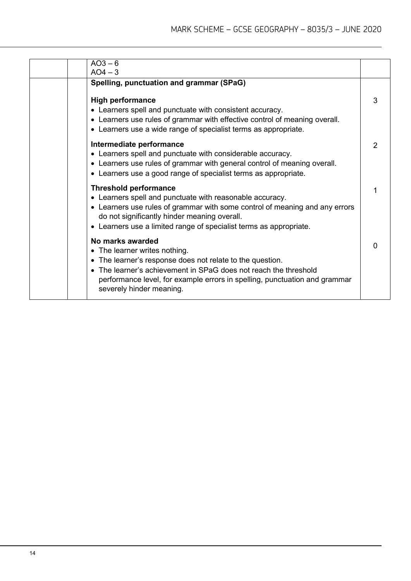| $AO3-6$                                                                                                                                                                                                                                                                                       |           |
|-----------------------------------------------------------------------------------------------------------------------------------------------------------------------------------------------------------------------------------------------------------------------------------------------|-----------|
|                                                                                                                                                                                                                                                                                               |           |
| Spelling, punctuation and grammar (SPaG)                                                                                                                                                                                                                                                      |           |
| <b>High performance</b><br>• Learners spell and punctuate with consistent accuracy.<br>• Learners use rules of grammar with effective control of meaning overall.<br>• Learners use a wide range of specialist terms as appropriate.                                                          |           |
| Intermediate performance<br>• Learners spell and punctuate with considerable accuracy.<br>• Learners use rules of grammar with general control of meaning overall.<br>• Learners use a good range of specialist terms as appropriate.                                                         |           |
| <b>Threshold performance</b><br>• Learners spell and punctuate with reasonable accuracy.<br>• Learners use rules of grammar with some control of meaning and any errors<br>do not significantly hinder meaning overall.<br>• Learners use a limited range of specialist terms as appropriate. |           |
| No marks awarded<br>• The learner writes nothing.<br>• The learner's response does not relate to the question.<br>• The learner's achievement in SPaG does not reach the threshold<br>performance level, for example errors in spelling, punctuation and grammar<br>severely hinder meaning.  |           |
|                                                                                                                                                                                                                                                                                               | $AO4 - 3$ |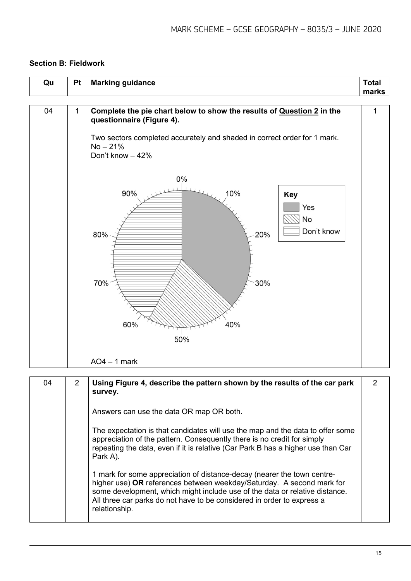#### **Section B: Fieldwork**

| Qu | <b>Pt</b>   | <b>Marking guidance</b>                                                                                                                                                                                                                                                                                        | <b>Total</b><br>marks |
|----|-------------|----------------------------------------------------------------------------------------------------------------------------------------------------------------------------------------------------------------------------------------------------------------------------------------------------------------|-----------------------|
| 04 | $\mathbf 1$ | Complete the pie chart below to show the results of Question 2 in the<br>questionnaire (Figure 4).<br>Two sectors completed accurately and shaded in correct order for 1 mark.<br>$No - 21%$<br>Don't know - 42%<br>0%<br>90%<br>10%<br>Key<br>Yes<br>$\boxtimes$ No<br>Don't know<br>20%<br>80%<br>30%<br>70% | $\mathbf{1}$          |
|    |             | 40%<br>60%<br>50%<br>$AO4 - 1$ mark                                                                                                                                                                                                                                                                            |                       |

| 04 | 2 | Using Figure 4, describe the pattern shown by the results of the car park<br>survey.                                                                                                                                                                                                                                       | 2 |
|----|---|----------------------------------------------------------------------------------------------------------------------------------------------------------------------------------------------------------------------------------------------------------------------------------------------------------------------------|---|
|    |   | Answers can use the data OR map OR both.                                                                                                                                                                                                                                                                                   |   |
|    |   | The expectation is that candidates will use the map and the data to offer some<br>appreciation of the pattern. Consequently there is no credit for simply<br>repeating the data, even if it is relative (Car Park B has a higher use than Car<br>Park A).                                                                  |   |
|    |   | 1 mark for some appreciation of distance-decay (nearer the town centre-<br>higher use) OR references between weekday/Saturday. A second mark for<br>some development, which might include use of the data or relative distance.<br>All three car parks do not have to be considered in order to express a<br>relationship. |   |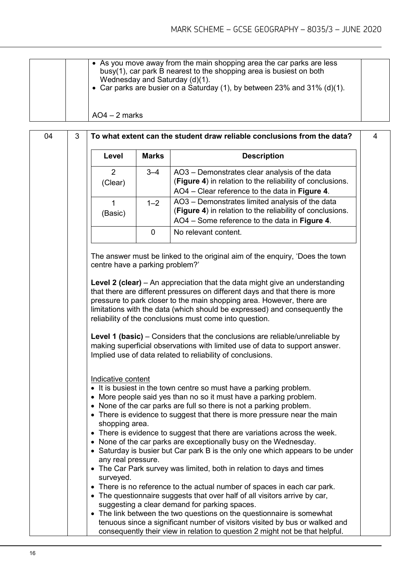| • As you move away from the main shopping area the car parks are less<br>busy(1), car park B nearest to the shopping area is busiest on both<br>Wednesday and Saturday (d)(1).<br>• Car parks are busier on a Saturday (1), by between 23% and 31% (d)(1). |  |
|------------------------------------------------------------------------------------------------------------------------------------------------------------------------------------------------------------------------------------------------------------|--|
| $AO4 - 2$ marks                                                                                                                                                                                                                                            |  |

| 04 | 3 |                                                   |              | To what extent can the student draw reliable conclusions from the data?                                                                                                                                                                                                                                                                                                             | 4 |
|----|---|---------------------------------------------------|--------------|-------------------------------------------------------------------------------------------------------------------------------------------------------------------------------------------------------------------------------------------------------------------------------------------------------------------------------------------------------------------------------------|---|
|    |   | Level                                             | <b>Marks</b> | <b>Description</b>                                                                                                                                                                                                                                                                                                                                                                  |   |
|    |   | $\overline{2}$<br>(Clear)                         | $3 - 4$      | AO3 - Demonstrates clear analysis of the data<br>(Figure 4) in relation to the reliability of conclusions.<br>AO4 - Clear reference to the data in Figure 4.                                                                                                                                                                                                                        |   |
|    |   | 1<br>(Basic)                                      | $1 - 2$      | AO3 - Demonstrates limited analysis of the data<br>(Figure 4) in relation to the reliability of conclusions.<br>AO4 - Some reference to the data in Figure 4.                                                                                                                                                                                                                       |   |
|    |   |                                                   | $\mathbf 0$  | No relevant content.                                                                                                                                                                                                                                                                                                                                                                |   |
|    |   | centre have a parking problem?'                   |              | The answer must be linked to the original aim of the enquiry, 'Does the town                                                                                                                                                                                                                                                                                                        |   |
|    |   |                                                   |              | <b>Level 2 (clear)</b> – An appreciation that the data might give an understanding<br>that there are different pressures on different days and that there is more<br>pressure to park closer to the main shopping area. However, there are<br>limitations with the data (which should be expressed) and consequently the<br>reliability of the conclusions must come into question. |   |
|    |   |                                                   |              | Level 1 (basic) – Considers that the conclusions are reliable/unreliable by<br>making superficial observations with limited use of data to support answer.<br>Implied use of data related to reliability of conclusions.                                                                                                                                                            |   |
|    |   | Indicative content<br>$\bullet$<br>shopping area. |              | • It is busiest in the town centre so must have a parking problem.<br>More people said yes than no so it must have a parking problem.<br>None of the car parks are full so there is not a parking problem.<br>• There is evidence to suggest that there is more pressure near the main                                                                                              |   |
|    |   | any real pressure.                                |              | • There is evidence to suggest that there are variations across the week.<br>• None of the car parks are exceptionally busy on the Wednesday.<br>• Saturday is busier but Car park B is the only one which appears to be under                                                                                                                                                      |   |
|    |   | surveyed.<br>$\bullet$                            |              | • The Car Park survey was limited, both in relation to days and times<br>There is no reference to the actual number of spaces in each car park.<br>The questionnaire suggests that over half of all visitors arrive by car,<br>suggesting a clear demand for parking spaces.                                                                                                        |   |
|    |   |                                                   |              | • The link between the two questions on the questionnaire is somewhat<br>tenuous since a significant number of visitors visited by bus or walked and<br>consequently their view in relation to question 2 might not be that helpful.                                                                                                                                                |   |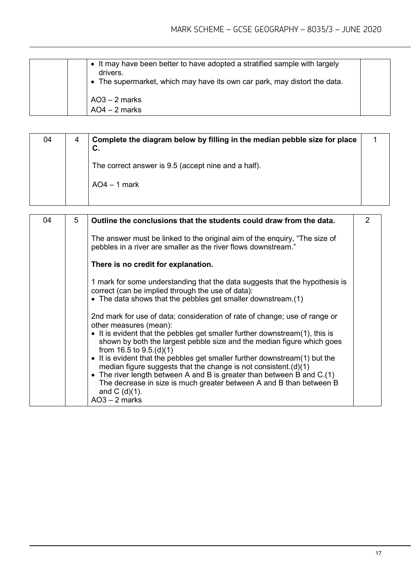| • It may have been better to have adopted a stratified sample with largely<br>drivers.<br>• The supermarket, which may have its own car park, may distort the data. |  |
|---------------------------------------------------------------------------------------------------------------------------------------------------------------------|--|
| $AO3 - 2$ marks<br>$AO4 - 2$ marks                                                                                                                                  |  |

| 04 | 4 | Complete the diagram below by filling in the median pebble size for place<br>C. |  |
|----|---|---------------------------------------------------------------------------------|--|
|    |   | The correct answer is 9.5 (accept nine and a half).                             |  |
|    |   | $AO4 - 1$ mark                                                                  |  |
|    |   |                                                                                 |  |

| 04 | 5 | Outline the conclusions that the students could draw from the data.                                                                                                                                                                                                                                                                                                                                                                                                                                                                                                                                                                       | $\mathcal{P}$ |
|----|---|-------------------------------------------------------------------------------------------------------------------------------------------------------------------------------------------------------------------------------------------------------------------------------------------------------------------------------------------------------------------------------------------------------------------------------------------------------------------------------------------------------------------------------------------------------------------------------------------------------------------------------------------|---------------|
|    |   | The answer must be linked to the original aim of the enquiry, "The size of<br>pebbles in a river are smaller as the river flows downstream."                                                                                                                                                                                                                                                                                                                                                                                                                                                                                              |               |
|    |   | There is no credit for explanation.                                                                                                                                                                                                                                                                                                                                                                                                                                                                                                                                                                                                       |               |
|    |   | 1 mark for some understanding that the data suggests that the hypothesis is<br>correct (can be implied through the use of data):<br>• The data shows that the pebbles get smaller downstream.(1)                                                                                                                                                                                                                                                                                                                                                                                                                                          |               |
|    |   | 2nd mark for use of data; consideration of rate of change; use of range or<br>other measures (mean):<br>• It is evident that the pebbles get smaller further downstream(1), this is<br>shown by both the largest pebble size and the median figure which goes<br>from $16.5$ to $9.5(d)(1)$<br>• It is evident that the pebbles get smaller further downstream(1) but the<br>median figure suggests that the change is not consistent. $(d)(1)$<br>• The river length between A and B is greater than between B and $C.(1)$<br>The decrease in size is much greater between A and B than between B<br>and $C( d)(1)$ .<br>$AO3 - 2$ marks |               |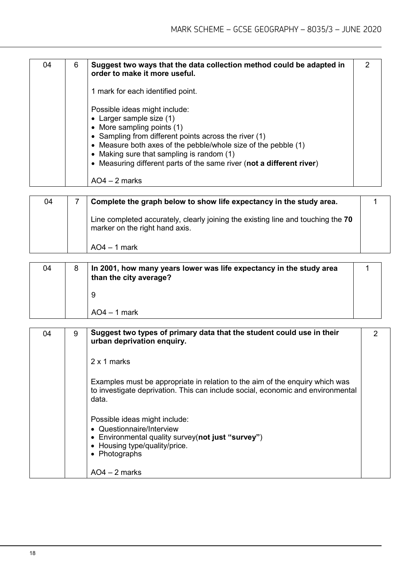| 04 | 6 | Suggest two ways that the data collection method could be adapted in<br>order to make it more useful.                                                                                                                                                                     | 2 |
|----|---|---------------------------------------------------------------------------------------------------------------------------------------------------------------------------------------------------------------------------------------------------------------------------|---|
|    |   | 1 mark for each identified point.                                                                                                                                                                                                                                         |   |
|    |   | Possible ideas might include:<br>$\bullet$ Larger sample size (1)<br>• More sampling points (1)<br>• Sampling from different points across the river $(1)$<br>• Measure both axes of the pebble/whole size of the pebble (1)<br>• Making sure that sampling is random (1) |   |
|    |   | • Measuring different parts of the same river (not a different river)<br>$AO4 - 2$ marks                                                                                                                                                                                  |   |
| ω  | 7 | Complete the araph below to show life expectancy in the study area                                                                                                                                                                                                        |   |

| 04 | Complete the graph below to show life expectancy in the study area.                                                |  |
|----|--------------------------------------------------------------------------------------------------------------------|--|
|    | Line completed accurately, clearly joining the existing line and touching the 70<br>marker on the right hand axis. |  |
|    | $AO4 - 1$ mark                                                                                                     |  |

| 04 | In 2001, how many years lower was life expectancy in the study area<br>than the city average? |  |
|----|-----------------------------------------------------------------------------------------------|--|
|    |                                                                                               |  |
|    | $AO4 - 1$ mark                                                                                |  |

| 04 | 9 | Suggest two types of primary data that the student could use in their<br>urban deprivation enquiry.                                                                      | 2 |
|----|---|--------------------------------------------------------------------------------------------------------------------------------------------------------------------------|---|
|    |   | 2 x 1 marks                                                                                                                                                              |   |
|    |   | Examples must be appropriate in relation to the aim of the enguiry which was<br>to investigate deprivation. This can include social, economic and environmental<br>data. |   |
|    |   | Possible ideas might include:<br>• Questionnaire/Interview<br>• Environmental quality survey(not just "survey")<br>• Housing type/quality/price.<br>• Photographs        |   |
|    |   | $AO4 - 2$ marks                                                                                                                                                          |   |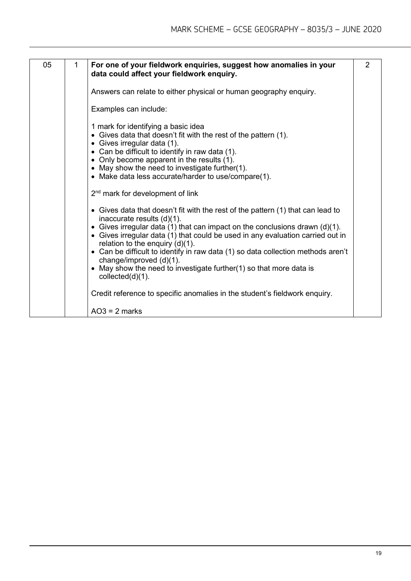| 05 | 1 | For one of your fieldwork enquiries, suggest how anomalies in your<br>data could affect your fieldwork enquiry.                                                                                                                                                                                                                                                                                                                                                                                                                         | $\overline{2}$ |
|----|---|-----------------------------------------------------------------------------------------------------------------------------------------------------------------------------------------------------------------------------------------------------------------------------------------------------------------------------------------------------------------------------------------------------------------------------------------------------------------------------------------------------------------------------------------|----------------|
|    |   | Answers can relate to either physical or human geography enquiry.                                                                                                                                                                                                                                                                                                                                                                                                                                                                       |                |
|    |   | Examples can include:                                                                                                                                                                                                                                                                                                                                                                                                                                                                                                                   |                |
|    |   | 1 mark for identifying a basic idea<br>• Gives data that doesn't fit with the rest of the pattern (1).<br>• Gives irregular data (1).<br>• Can be difficult to identify in raw data (1).<br>• Only become apparent in the results (1).<br>• May show the need to investigate further(1).<br>• Make data less accurate/harder to use/compare(1).                                                                                                                                                                                         |                |
|    |   | 2 <sup>nd</sup> mark for development of link                                                                                                                                                                                                                                                                                                                                                                                                                                                                                            |                |
|    |   | • Gives data that doesn't fit with the rest of the pattern (1) that can lead to<br>inaccurate results $(d)(1)$ .<br>• Gives irregular data (1) that can impact on the conclusions drawn $(d)(1)$ .<br>• Gives irregular data (1) that could be used in any evaluation carried out in<br>relation to the enquiry $(d)(1)$ .<br>• Can be difficult to identify in raw data (1) so data collection methods aren't<br>change/improved (d)(1).<br>• May show the need to investigate further(1) so that more data is<br>collected $(d)(1)$ . |                |
|    |   | Credit reference to specific anomalies in the student's fieldwork enquiry.                                                                                                                                                                                                                                                                                                                                                                                                                                                              |                |
|    |   | $AO3 = 2$ marks                                                                                                                                                                                                                                                                                                                                                                                                                                                                                                                         |                |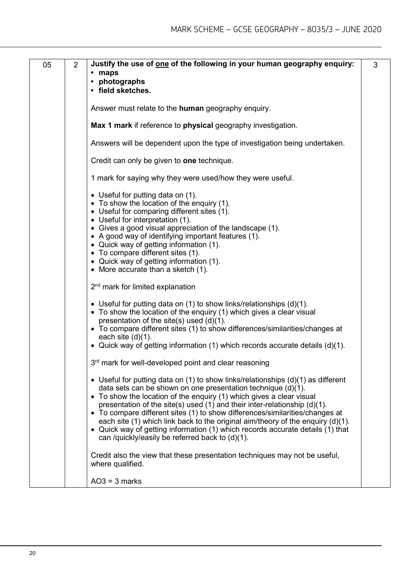| 05 | $\overline{2}$ | Justify the use of <u>one</u> of the following in your human geography enquiry:<br>• maps<br>• photographs<br>• field sketches.                                                                                                                                                                                                                                                                                                                                                                                                                                                                                 | 3 |
|----|----------------|-----------------------------------------------------------------------------------------------------------------------------------------------------------------------------------------------------------------------------------------------------------------------------------------------------------------------------------------------------------------------------------------------------------------------------------------------------------------------------------------------------------------------------------------------------------------------------------------------------------------|---|
|    |                | Answer must relate to the <b>human</b> geography enquiry.                                                                                                                                                                                                                                                                                                                                                                                                                                                                                                                                                       |   |
|    |                | Max 1 mark if reference to physical geography investigation.                                                                                                                                                                                                                                                                                                                                                                                                                                                                                                                                                    |   |
|    |                | Answers will be dependent upon the type of investigation being undertaken.                                                                                                                                                                                                                                                                                                                                                                                                                                                                                                                                      |   |
|    |                | Credit can only be given to one technique.                                                                                                                                                                                                                                                                                                                                                                                                                                                                                                                                                                      |   |
|    |                | 1 mark for saying why they were used/how they were useful.                                                                                                                                                                                                                                                                                                                                                                                                                                                                                                                                                      |   |
|    |                | • Useful for putting data on (1).<br>• To show the location of the enquiry (1).<br>• Useful for comparing different sites (1).<br>• Useful for interpretation (1).<br>• Gives a good visual appreciation of the landscape (1).<br>• A good way of identifying important features (1).<br>• Quick way of getting information (1).<br>• To compare different sites (1).<br>• Quick way of getting information (1).<br>• More accurate than a sketch (1).                                                                                                                                                          |   |
|    |                | 2 <sup>nd</sup> mark for limited explanation                                                                                                                                                                                                                                                                                                                                                                                                                                                                                                                                                                    |   |
|    |                | • Useful for putting data on (1) to show links/relationships $(d)(1)$ .<br>• To show the location of the enquiry (1) which gives a clear visual<br>presentation of the site(s) used (d)(1).<br>• To compare different sites (1) to show differences/similarities/changes at<br>each site $(d)(1)$ .<br>• Quick way of getting information (1) which records accurate details (d)(1).                                                                                                                                                                                                                            |   |
|    |                | 3rd mark for well-developed point and clear reasoning                                                                                                                                                                                                                                                                                                                                                                                                                                                                                                                                                           |   |
|    |                | • Useful for putting data on (1) to show links/relationships $(d)(1)$ as different<br>data sets can be shown on one presentation technique (d)(1).<br>• To show the location of the enquiry (1) which gives a clear visual<br>presentation of the site(s) used (1) and their inter-relationship (d)(1).<br>• To compare different sites (1) to show differences/similarities/changes at<br>each site (1) which link back to the original aim/theory of the enquiry (d)(1).<br>• Quick way of getting information (1) which records accurate details (1) that<br>can /quickly/easily be referred back to (d)(1). |   |
|    |                | Credit also the view that these presentation techniques may not be useful,<br>where qualified.                                                                                                                                                                                                                                                                                                                                                                                                                                                                                                                  |   |
|    |                | $AO3 = 3$ marks                                                                                                                                                                                                                                                                                                                                                                                                                                                                                                                                                                                                 |   |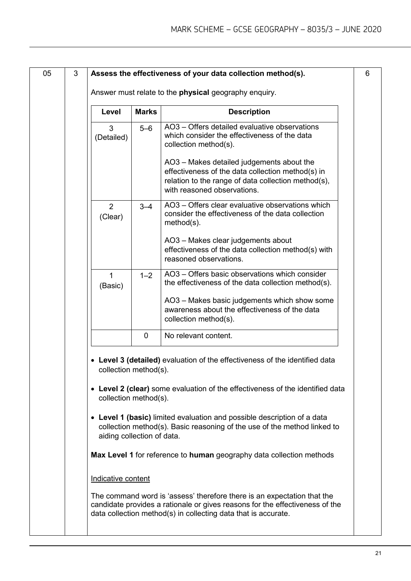| 05 | 3 |                                                                                                                                                                                   |              | Assess the effectiveness of your data collection method(s).                                                                                                                                                               | 6 |  |
|----|---|-----------------------------------------------------------------------------------------------------------------------------------------------------------------------------------|--------------|---------------------------------------------------------------------------------------------------------------------------------------------------------------------------------------------------------------------------|---|--|
|    |   | Answer must relate to the physical geography enquiry.                                                                                                                             |              |                                                                                                                                                                                                                           |   |  |
|    |   | Level                                                                                                                                                                             | <b>Marks</b> | <b>Description</b>                                                                                                                                                                                                        |   |  |
|    |   | 3<br>(Detailed)                                                                                                                                                                   | $5 - 6$      | AO3 – Offers detailed evaluative observations<br>which consider the effectiveness of the data<br>collection method(s).                                                                                                    |   |  |
|    |   |                                                                                                                                                                                   |              | AO3 - Makes detailed judgements about the<br>effectiveness of the data collection method(s) in<br>relation to the range of data collection method(s),<br>with reasoned observations.                                      |   |  |
|    |   | $\overline{2}$<br>(Clear)                                                                                                                                                         | $3 - 4$      | AO3 - Offers clear evaluative observations which<br>consider the effectiveness of the data collection<br>$method(s)$ .                                                                                                    |   |  |
|    |   |                                                                                                                                                                                   |              | AO3 - Makes clear judgements about<br>effectiveness of the data collection method(s) with<br>reasoned observations.                                                                                                       |   |  |
|    |   | $\mathbf{1}$<br>(Basic)                                                                                                                                                           | $1 - 2$      | AO3 - Offers basic observations which consider<br>the effectiveness of the data collection method(s).                                                                                                                     |   |  |
|    |   |                                                                                                                                                                                   |              | AO3 - Makes basic judgements which show some<br>awareness about the effectiveness of the data<br>collection method(s).                                                                                                    |   |  |
|    |   |                                                                                                                                                                                   | $\mathbf 0$  | No relevant content.                                                                                                                                                                                                      |   |  |
|    |   | collection method(s).<br>collection method(s).                                                                                                                                    |              | Level 3 (detailed) evaluation of the effectiveness of the identified data<br>• Level 2 (clear) some evaluation of the effectiveness of the identified data                                                                |   |  |
|    |   | • Level 1 (basic) limited evaluation and possible description of a data<br>collection method(s). Basic reasoning of the use of the method linked to<br>aiding collection of data. |              |                                                                                                                                                                                                                           |   |  |
|    |   |                                                                                                                                                                                   |              | Max Level 1 for reference to human geography data collection methods                                                                                                                                                      |   |  |
|    |   | Indicative content                                                                                                                                                                |              |                                                                                                                                                                                                                           |   |  |
|    |   |                                                                                                                                                                                   |              | The command word is 'assess' therefore there is an expectation that the<br>candidate provides a rationale or gives reasons for the effectiveness of the<br>data collection method(s) in collecting data that is accurate. |   |  |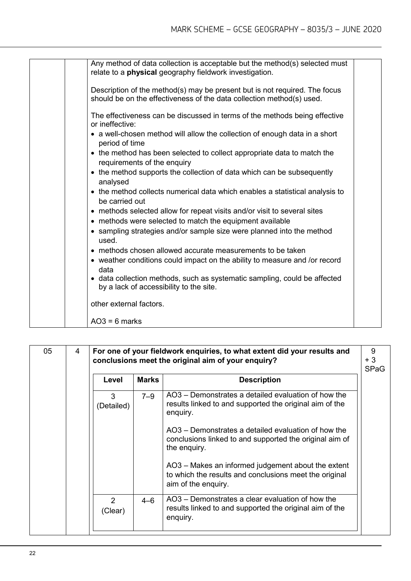| Any method of data collection is acceptable but the method(s) selected must                                          |  |
|----------------------------------------------------------------------------------------------------------------------|--|
| relate to a <b>physical</b> geography fieldwork investigation.                                                       |  |
| Description of the method(s) may be present but is not required. The focus                                           |  |
| should be on the effectiveness of the data collection method(s) used.                                                |  |
| The effectiveness can be discussed in terms of the methods being effective<br>or ineffective:                        |  |
| • a well-chosen method will allow the collection of enough data in a short<br>period of time                         |  |
| • the method has been selected to collect appropriate data to match the<br>requirements of the enquiry               |  |
| • the method supports the collection of data which can be subsequently<br>analysed                                   |  |
| • the method collects numerical data which enables a statistical analysis to<br>be carried out                       |  |
| • methods selected allow for repeat visits and/or visit to several sites                                             |  |
| • methods were selected to match the equipment available                                                             |  |
| • sampling strategies and/or sample size were planned into the method<br>used.                                       |  |
| • methods chosen allowed accurate measurements to be taken                                                           |  |
| • weather conditions could impact on the ability to measure and /or record<br>data                                   |  |
| • data collection methods, such as systematic sampling, could be affected<br>by a lack of accessibility to the site. |  |
| other external factors.                                                                                              |  |
| $AO3 = 6$ marks                                                                                                      |  |

| 05 | 4 | For one of your fieldwork enquiries, to what extent did your results and<br>conclusions meet the original aim of your enquiry? |              | 9<br>$+3$<br><b>SPaG</b>                                                                                                            |  |
|----|---|--------------------------------------------------------------------------------------------------------------------------------|--------------|-------------------------------------------------------------------------------------------------------------------------------------|--|
|    |   | Level                                                                                                                          | <b>Marks</b> | <b>Description</b>                                                                                                                  |  |
|    |   | 3<br>(Detailed)                                                                                                                | $7 - 9$      | AO3 – Demonstrates a detailed evaluation of how the<br>results linked to and supported the original aim of the<br>enquiry.          |  |
|    |   |                                                                                                                                |              | AO3 – Demonstrates a detailed evaluation of how the<br>conclusions linked to and supported the original aim of<br>the enquiry.      |  |
|    |   |                                                                                                                                |              | AO3 – Makes an informed judgement about the extent<br>to which the results and conclusions meet the original<br>aim of the enquiry. |  |
|    |   | $\mathcal{P}$<br>(Clear)                                                                                                       | $4 - 6$      | AO3 – Demonstrates a clear evaluation of how the<br>results linked to and supported the original aim of the<br>enquiry.             |  |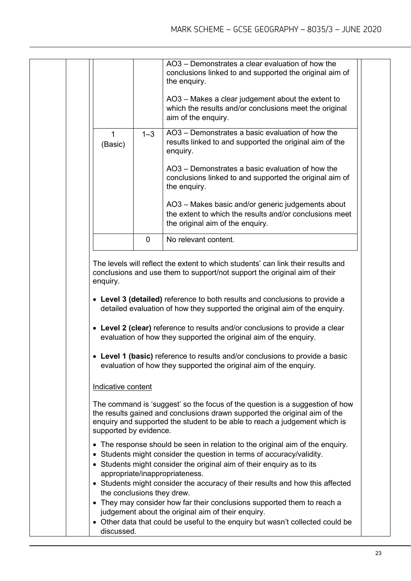|                                              |             | AO3 – Demonstrates a clear evaluation of how the<br>conclusions linked to and supported the original aim of<br>the enquiry.                                                                                                                                                                                                |
|----------------------------------------------|-------------|----------------------------------------------------------------------------------------------------------------------------------------------------------------------------------------------------------------------------------------------------------------------------------------------------------------------------|
|                                              |             | AO3 - Makes a clear judgement about the extent to<br>which the results and/or conclusions meet the original<br>aim of the enquiry.                                                                                                                                                                                         |
| 1<br>(Basic)                                 | $1 - 3$     | AO3 – Demonstrates a basic evaluation of how the<br>results linked to and supported the original aim of the<br>enquiry.                                                                                                                                                                                                    |
|                                              |             | AO3 – Demonstrates a basic evaluation of how the<br>conclusions linked to and supported the original aim of<br>the enquiry.                                                                                                                                                                                                |
|                                              |             | AO3 - Makes basic and/or generic judgements about<br>the extent to which the results and/or conclusions meet<br>the original aim of the enquiry.                                                                                                                                                                           |
|                                              | $\mathbf 0$ | No relevant content.                                                                                                                                                                                                                                                                                                       |
|                                              |             | The levels will reflect the extent to which students' can link their results and<br>conclusions and use them to support/not support the original aim of their<br>• Level 3 (detailed) reference to both results and conclusions to provide a<br>detailed evaluation of how they supported the original aim of the enquiry. |
| enquiry.                                     |             | • Level 2 (clear) reference to results and/or conclusions to provide a clear<br>evaluation of how they supported the original aim of the enquiry.<br>• Level 1 (basic) reference to results and/or conclusions to provide a basic<br>evaluation of how they supported the original aim of the enquiry.                     |
|                                              |             |                                                                                                                                                                                                                                                                                                                            |
| Indicative content<br>supported by evidence. |             | The command is 'suggest' so the focus of the question is a suggestion of how<br>the results gained and conclusions drawn supported the original aim of the<br>enquiry and supported the student to be able to reach a judgement which is                                                                                   |